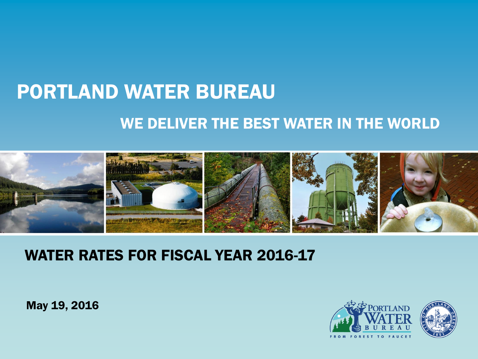# PORTLAND WATER BUREAU WE DELIVER THE BEST WATER IN THE WORLD



#### WATER RATES FOR FISCAL YEAR 2016-17

May 19, 2016

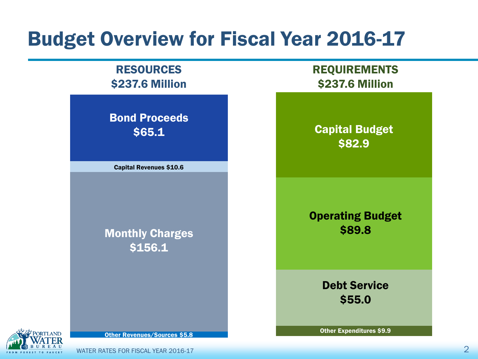## Budget Overview for Fiscal Year 2016-17

#### RESOURCES \$237.6 Million

Bond Proceeds \$65.1

Capital Revenues \$10.6

Monthly Charges \$156.1

REQUIREMENTS \$237.6 Million

Capital Budget \$82.9

Operating Budget \$89.8

> Debt Service \$55.0

Other Revenues/Sources \$5.8

Other Expenditures \$9.9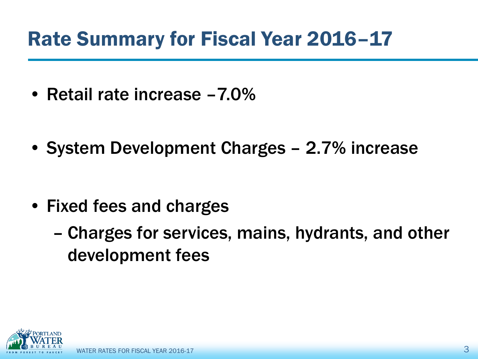## Rate Summary for Fiscal Year 2016–17

- Retail rate increase –7.0%
- System Development Charges 2.7% increase

- Fixed fees and charges
	- Charges for services, mains, hydrants, and other development fees

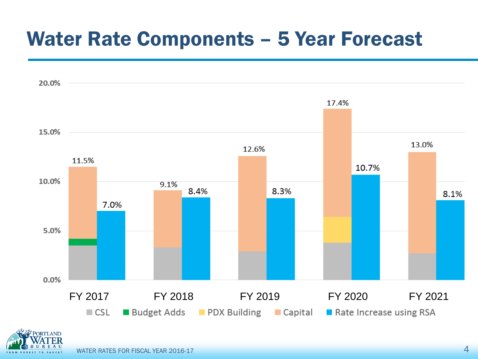## Water Rate Components – 5 Year Forecast



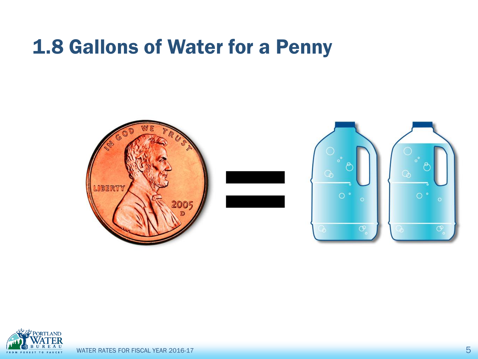## 1.8 Gallons of Water for a Penny



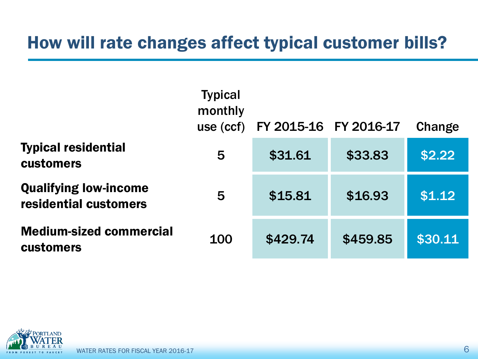#### How will rate changes affect typical customer bills?

|                                                       | <b>Typical</b><br>monthly<br>use (ccf) | FY 2015-16 | FY 2016-17 | Change  |
|-------------------------------------------------------|----------------------------------------|------------|------------|---------|
| <b>Typical residential</b><br><b>customers</b>        | 5                                      | \$31.61    | \$33.83    | \$2.22  |
| <b>Qualifying low-income</b><br>residential customers | 5                                      | \$15.81    | \$16.93    | \$1.12  |
| <b>Medium-sized commercial</b><br><b>customers</b>    | 100                                    | \$429.74   | \$459.85   | \$30.11 |

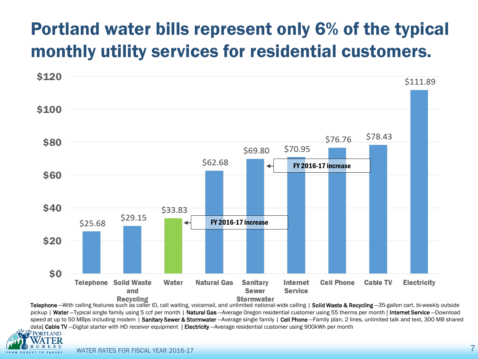#### Portland water bills represent only 6% of the typical monthly utility services for residential customers.



Telephone -With calling features such as caller ID, call waiting, voicemail, and unlimited national-wide calling | Solid Waste & Recycling -35-gallon cart, bi-weekly outside pickup | Water -Typical single family using 5 ccf per month | Natural Gas -Average Oregon residential customer using 55 therms per month | Internet Service -- Download speed at up to 50 MBps including modem | Sanitary Sewer & Stormwater -Average single family | Cell Phone -Family plan, 2 lines, unlimited talk and text, 300 MB shared data| Cable TV – Digital starter with HD receiver equipment | Electricity – Average residential customer using 900kWh per month

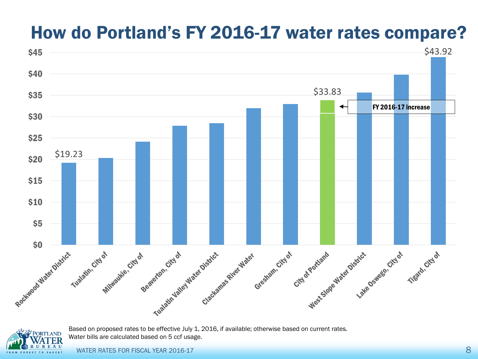#### How do Portland's FY 2016-17 water rates compare?





Based on proposed rates to be effective July 1, 2016, if available; otherwise based on current rates. Water bills are calculated based on 5 ccf usage.